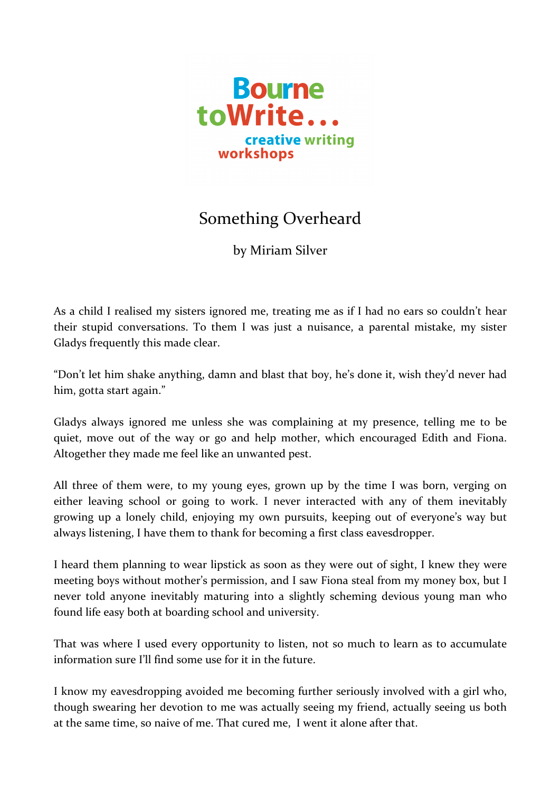

## Something Overheard

by Miriam Silver

As a child I realised my sisters ignored me, treating me as if I had no ears so couldn't hear their stupid conversations. To them I was just a nuisance, a parental mistake, my sister Gladys frequently this made clear.

"Don't let him shake anything, damn and blast that boy, he's done it, wish they'd never had him, gotta start again."

Gladys always ignored me unless she was complaining at my presence, telling me to be quiet, move out of the way or go and help mother, which encouraged Edith and Fiona. Altogether they made me feel like an unwanted pest.

All three of them were, to my young eyes, grown up by the time I was born, verging on either leaving school or going to work. I never interacted with any of them inevitably growing up a lonely child, enjoying my own pursuits, keeping out of everyone's way but always listening, I have them to thank for becoming a first class eavesdropper.

I heard them planning to wear lipstick as soon as they were out of sight, I knew they were meeting boys without mother's permission, and I saw Fiona steal from my money box, but I never told anyone inevitably maturing into a slightly scheming devious young man who found life easy both at boarding school and university.

That was where I used every opportunity to listen, not so much to learn as to accumulate information sure I'll find some use for it in the future.

I know my eavesdropping avoided me becoming further seriously involved with a girl who, though swearing her devotion to me was actually seeing my friend, actually seeing us both at the same time, so naive of me. That cured me, I went it alone after that.